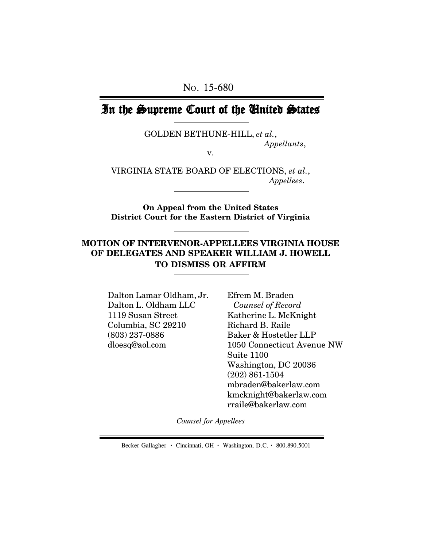# In the Supreme Court of the United States

GOLDEN BETHUNE-HILL, *et al.*,

*Appellants*,

v.

VIRGINIA STATE BOARD OF ELECTIONS, *et al.*, *Appellees*.

**On Appeal from the United States District Court for the Eastern District of Virginia**

## **MOTION OF INTERVENOR-APPELLEES VIRGINIA HOUSE OF DELEGATES AND SPEAKER WILLIAM J. HOWELL TO DISMISS OR AFFIRM**

Dalton Lamar Oldham, Jr. Dalton L. Oldham LLC 1119 Susan Street Columbia, SC 29210 (803) 237-0886 dloesq@aol.com

Efrem M. Braden *Counsel of Record* Katherine L. McKnight Richard B. Raile Baker & Hostetler LLP 1050 Connecticut Avenue NW Suite 1100 Washington, DC 20036 (202) 861-1504 mbraden@bakerlaw.com kmcknight@bakerlaw.com rraile@bakerlaw.com

*Counsel for Appellees*

Becker Gallagher **·** Cincinnati, OH **·** Washington, D.C. **·** 800.890.5001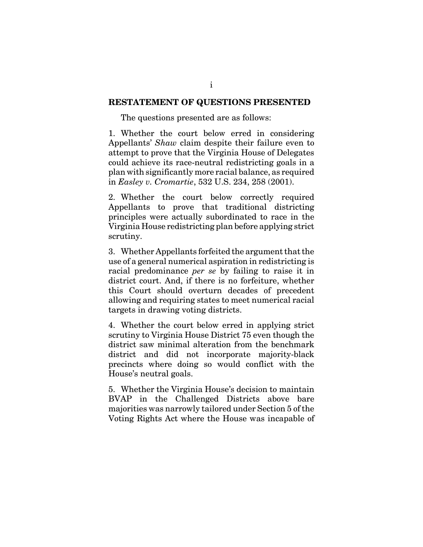#### **RESTATEMENT OF QUESTIONS PRESENTED**

The questions presented are as follows:

1. Whether the court below erred in considering Appellants' *Shaw* claim despite their failure even to attempt to prove that the Virginia House of Delegates could achieve its race-neutral redistricting goals in a plan with significantly more racial balance, as required in *Easley v. Cromartie*, 532 U.S. 234, 258 (2001).

2. Whether the court below correctly required Appellants to prove that traditional districting principles were actually subordinated to race in the Virginia House redistricting plan before applying strict scrutiny.

3. Whether Appellants forfeited the argument that the use of a general numerical aspiration in redistricting is racial predominance *per se* by failing to raise it in district court. And, if there is no forfeiture, whether this Court should overturn decades of precedent allowing and requiring states to meet numerical racial targets in drawing voting districts.

4. Whether the court below erred in applying strict scrutiny to Virginia House District 75 even though the district saw minimal alteration from the benchmark district and did not incorporate majority-black precincts where doing so would conflict with the House's neutral goals.

5. Whether the Virginia House's decision to maintain BVAP in the Challenged Districts above bare majorities was narrowly tailored under Section 5 of the Voting Rights Act where the House was incapable of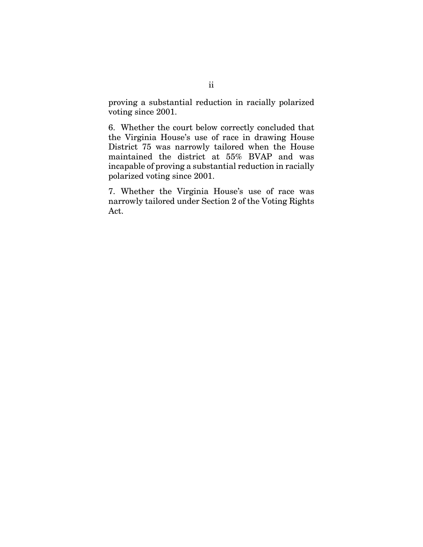proving a substantial reduction in racially polarized voting since 2001.

6. Whether the court below correctly concluded that the Virginia House's use of race in drawing House District 75 was narrowly tailored when the House maintained the district at 55% BVAP and was incapable of proving a substantial reduction in racially polarized voting since 2001.

7. Whether the Virginia House's use of race was narrowly tailored under Section 2 of the Voting Rights Act.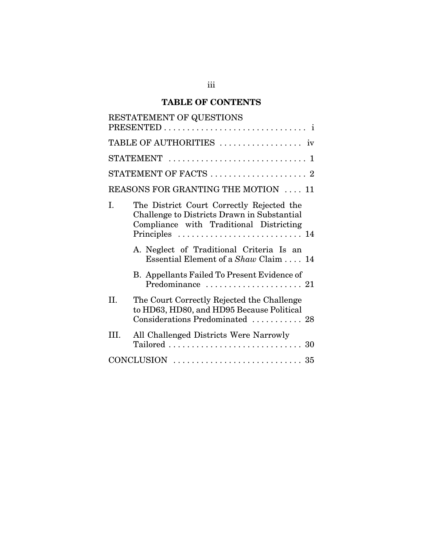# **TABLE OF CONTENTS**

|                                     | RESTATEMENT OF QUESTIONS                                                                                                                              |  |  |
|-------------------------------------|-------------------------------------------------------------------------------------------------------------------------------------------------------|--|--|
|                                     |                                                                                                                                                       |  |  |
|                                     | $STATEMENT$<br>$\mathbf{1}$                                                                                                                           |  |  |
|                                     | STATEMENT OF FACTS  2                                                                                                                                 |  |  |
| REASONS FOR GRANTING THE MOTION  11 |                                                                                                                                                       |  |  |
| T.                                  | The District Court Correctly Rejected the<br>Challenge to Districts Drawn in Substantial<br>Compliance with Traditional Districting<br>Principles  14 |  |  |
|                                     | A. Neglect of Traditional Criteria Is an<br>Essential Element of a Shaw Claim  14                                                                     |  |  |
|                                     | B. Appellants Failed To Present Evidence of                                                                                                           |  |  |
| II.                                 | The Court Correctly Rejected the Challenge<br>to HD63, HD80, and HD95 Because Political<br>Considerations Predominated  28                            |  |  |
| HL.                                 | All Challenged Districts Were Narrowly<br>$Tailored \dots \dots \dots \dots \dots \dots \dots \dots \dots \dots \ 30$                                 |  |  |
|                                     |                                                                                                                                                       |  |  |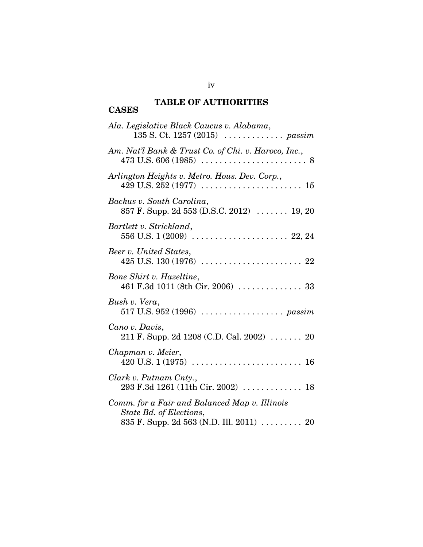#### **TABLE OF AUTHORITIES CASES**

| Ala. Legislative Black Caucus v. Alabama,<br>135 S. Ct. 1257 (2015)  passim                                          |
|----------------------------------------------------------------------------------------------------------------------|
| Am. Nat'l Bank & Trust Co. of Chi. v. Haroco, Inc.,                                                                  |
| Arlington Heights v. Metro. Hous. Dev. Corp.,                                                                        |
| Backus v. South Carolina,<br>857 F. Supp. 2d 553 (D.S.C. 2012)  19, 20                                               |
| Bartlett v. Strickland,                                                                                              |
| Beer v. United States,                                                                                               |
| Bone Shirt v. Hazeltine,<br>461 F.3d 1011 (8th Cir. 2006)  33                                                        |
| Bush v. Vera,                                                                                                        |
| Cano v. Davis,<br>211 F. Supp. 2d 1208 (C.D. Cal. 2002) $\ldots$ 20                                                  |
| Chapman v. Meier,                                                                                                    |
| Clark v. Putnam Cnty.,<br>293 F.3d 1261 (11th Cir. 2002)  18                                                         |
| Comm. for a Fair and Balanced Map v. Illinois<br>State Bd. of Elections,<br>835 F. Supp. 2d 563 (N.D. Ill. 2011)  20 |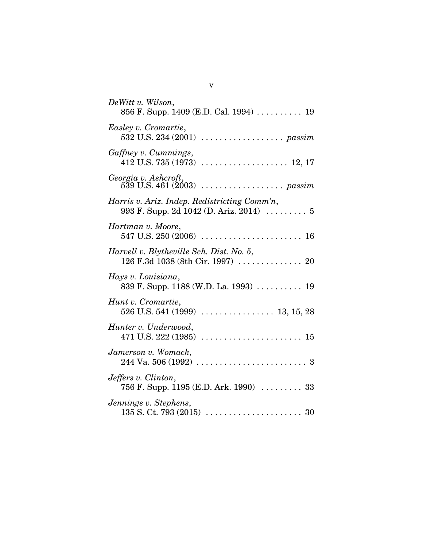| DeWitt v. Wilson,<br>856 F. Supp. 1409 (E.D. Cal. 1994)  19                             |
|-----------------------------------------------------------------------------------------|
| Easley v. Cromartie,                                                                    |
| Gaffney v. Cummings,                                                                    |
| Georgia v. Ashcroft,                                                                    |
| Harris v. Ariz. Indep. Redistricting Comm'n,<br>993 F. Supp. 2d 1042 (D. Ariz. 2014)  5 |
| Hartman v. Moore,                                                                       |
| Harvell v. Blytheville Sch. Dist. No. 5,<br>126 F.3d 1038 (8th Cir. 1997)  20           |
| Hays v. Louisiana,<br>839 F. Supp. 1188 (W.D. La. 1993)  19                             |
| Hunt v. Cromartie,                                                                      |
| Hunter v. Underwood,                                                                    |
| Jamerson v. Womack,                                                                     |
| Jeffers v. Clinton,<br>756 F. Supp. 1195 (E.D. Ark. 1990)  33                           |
| Jennings v. Stephens,                                                                   |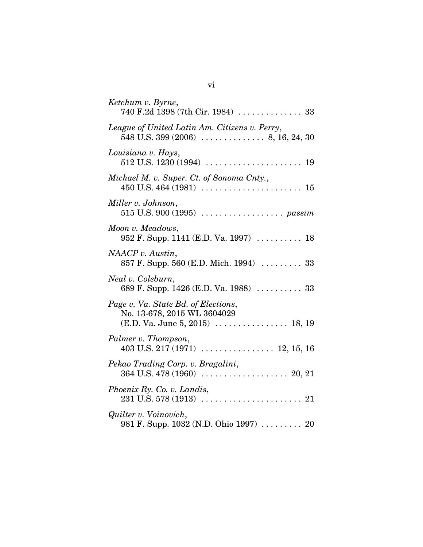| Ketchum v. Byrne,                                                                                      |
|--------------------------------------------------------------------------------------------------------|
| League of United Latin Am. Citizens v. Perry,                                                          |
| Louisiana v. Hays,                                                                                     |
| Michael M. v. Super. Ct. of Sonoma Cnty.,                                                              |
| Miller v. Johnson,                                                                                     |
| Moon v. Meadows,<br>952 F. Supp. 1141 (E.D. Va. 1997)  18                                              |
| NAACP v. Austin,<br>857 F. Supp. 560 (E.D. Mich. 1994)  33                                             |
| Neal v. Coleburn,<br>689 F. Supp. 1426 (E.D. Va. 1988)  33                                             |
| Page v. Va. State Bd. of Elections,<br>No. 13-678, 2015 WL 3604029<br>$(E.D. Va. June 5, 2015)$ 18, 19 |
| Palmer v. Thompson,                                                                                    |
| Pekao Trading Corp. v. Bragalini,                                                                      |
| Phoenix Ry. Co. v. Landis,                                                                             |
| Quilter v. Voinovich,<br>981 F. Supp. 1032 (N.D. Ohio 1997)  20                                        |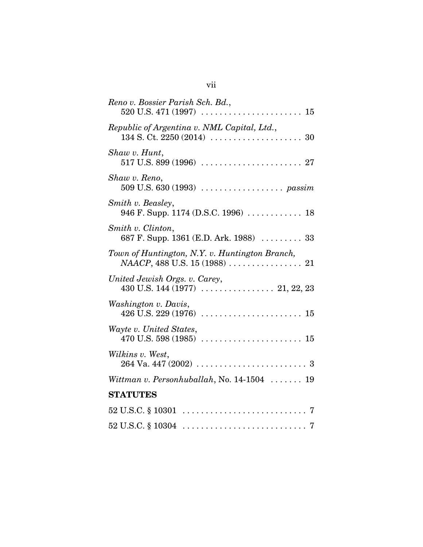| Reno v. Bossier Parish Sch. Bd.,                                    |
|---------------------------------------------------------------------|
| Republic of Argentina v. NML Capital, Ltd.,                         |
| Shaw v. Hunt,                                                       |
| Shaw v. Reno,<br>509 U.S. 630 (1993)  passim                        |
| Smith v. Beasley,<br>946 F. Supp. 1174 (D.S.C. 1996)  18            |
| Smith v. Clinton,<br>687 F. Supp. 1361 (E.D. Ark. 1988) $\ldots$ 33 |
| Town of Huntington, N.Y. v. Huntington Branch,                      |
| United Jewish Orgs. v. Carey,                                       |
| Washington v. Davis,                                                |
| Wayte v. United States,                                             |
| Wilkins v. West,                                                    |
| Wittman v. Personhuballah, No. $14-1504$ 19                         |
| <b>STATUTES</b>                                                     |
|                                                                     |
|                                                                     |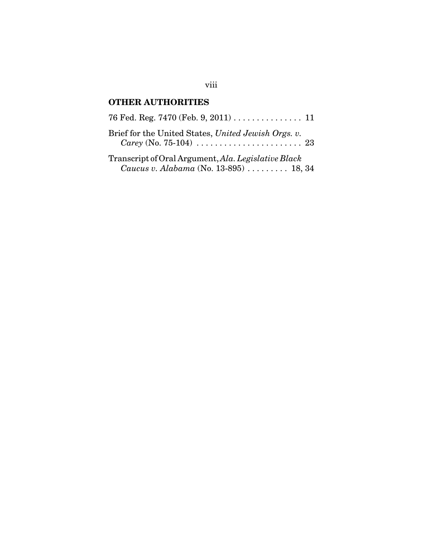# **OTHER AUTHORITIES**

| Brief for the United States, United Jewish Orgs. v.<br><i>Carey</i> (No. 75-104) $\ldots \ldots \ldots \ldots \ldots \ldots \ldots \ldots 23$ |  |
|-----------------------------------------------------------------------------------------------------------------------------------------------|--|
| Transcript of Oral Argument, Ala. Legislative Black                                                                                           |  |
| Caucus v. Alabama (No. 13-895)  18, 34                                                                                                        |  |

viii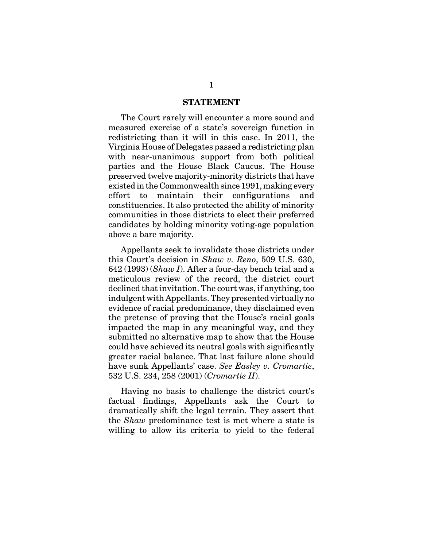#### **STATEMENT**

The Court rarely will encounter a more sound and measured exercise of a state's sovereign function in redistricting than it will in this case. In 2011, the Virginia House of Delegates passed a redistricting plan with near-unanimous support from both political parties and the House Black Caucus. The House preserved twelve majority-minority districts that have existed in the Commonwealth since 1991, making every effort to maintain their configurations and constituencies. It also protected the ability of minority communities in those districts to elect their preferred candidates by holding minority voting-age population above a bare majority.

Appellants seek to invalidate those districts under this Court's decision in *Shaw v. Reno*, 509 U.S. 630, 642 (1993) (*Shaw I*). After a four-day bench trial and a meticulous review of the record, the district court declined that invitation. The court was, if anything, too indulgent with Appellants. They presented virtually no evidence of racial predominance, they disclaimed even the pretense of proving that the House's racial goals impacted the map in any meaningful way, and they submitted no alternative map to show that the House could have achieved its neutral goals with significantly greater racial balance. That last failure alone should have sunk Appellants' case. *See Easley v. Cromartie*, 532 U.S. 234, 258 (2001) (*Cromartie II*).

Having no basis to challenge the district court's factual findings, Appellants ask the Court to dramatically shift the legal terrain. They assert that the *Shaw* predominance test is met where a state is willing to allow its criteria to yield to the federal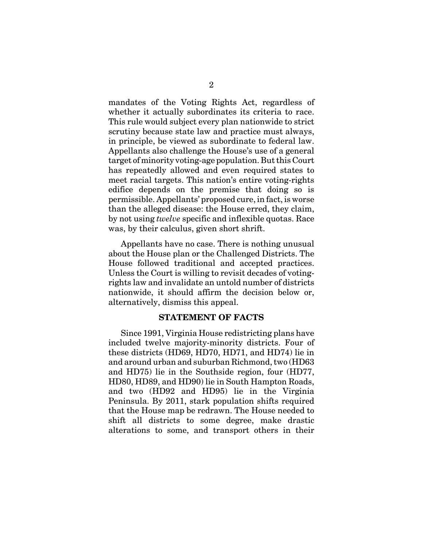mandates of the Voting Rights Act, regardless of whether it actually subordinates its criteria to race. This rule would subject every plan nationwide to strict scrutiny because state law and practice must always, in principle, be viewed as subordinate to federal law. Appellants also challenge the House's use of a general target of minority voting-age population. But this Court has repeatedly allowed and even required states to meet racial targets. This nation's entire voting-rights edifice depends on the premise that doing so is permissible. Appellants' proposed cure, in fact, is worse than the alleged disease: the House erred, they claim, by not using *twelve* specific and inflexible quotas. Race was, by their calculus, given short shrift.

Appellants have no case. There is nothing unusual about the House plan or the Challenged Districts. The House followed traditional and accepted practices. Unless the Court is willing to revisit decades of votingrights law and invalidate an untold number of districts nationwide, it should affirm the decision below or, alternatively, dismiss this appeal.

#### **STATEMENT OF FACTS**

Since 1991, Virginia House redistricting plans have included twelve majority-minority districts. Four of these districts (HD69, HD70, HD71, and HD74) lie in and around urban and suburban Richmond, two (HD63 and HD75) lie in the Southside region, four (HD77, HD80, HD89, and HD90) lie in South Hampton Roads, and two (HD92 and HD95) lie in the Virginia Peninsula. By 2011, stark population shifts required that the House map be redrawn. The House needed to shift all districts to some degree, make drastic alterations to some, and transport others in their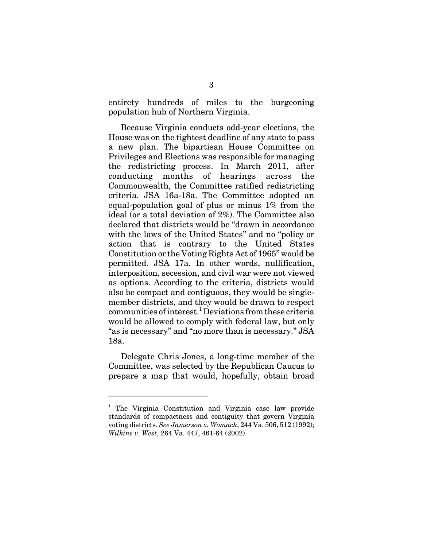entirety hundreds of miles to the burgeoning population hub of Northern Virginia.

Because Virginia conducts odd-year elections, the House was on the tightest deadline of any state to pass a new plan. The bipartisan House Committee on Privileges and Elections was responsible for managing the redistricting process. In March 2011, after conducting months of hearings across the Commonwealth, the Committee ratified redistricting criteria. JSA 16a-18a. The Committee adopted an equal-population goal of plus or minus 1% from the ideal (or a total deviation of 2%). The Committee also declared that districts would be "drawn in accordance with the laws of the United States" and no "policy or action that is contrary to the United States Constitution or the Voting Rights Act of 1965" would be permitted. JSA 17a. In other words, nullification, interposition, secession, and civil war were not viewed as options. According to the criteria, districts would also be compact and contiguous, they would be singlemember districts, and they would be drawn to respect communities of interest.<sup>1</sup> Deviations from these criteria would be allowed to comply with federal law, but only "as is necessary" and "no more than is necessary." JSA 18a.

Delegate Chris Jones, a long-time member of the Committee, was selected by the Republican Caucus to prepare a map that would, hopefully, obtain broad

<sup>&</sup>lt;sup>1</sup> The Virginia Constitution and Virginia case law provide standards of compactness and contiguity that govern Virginia voting districts. *See Jamerson v. Womack*, 244 Va. 506, 512 (1992); *Wilkins v. West*, 264 Va. 447, 461-64 (2002).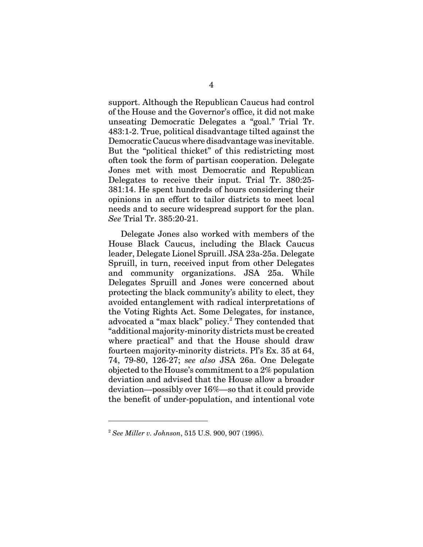support. Although the Republican Caucus had control of the House and the Governor's office, it did not make unseating Democratic Delegates a "goal." Trial Tr. 483:1-2. True, political disadvantage tilted against the Democratic Caucus where disadvantage was inevitable. But the "political thicket" of this redistricting most often took the form of partisan cooperation. Delegate Jones met with most Democratic and Republican Delegates to receive their input. Trial Tr. 380:25- 381:14. He spent hundreds of hours considering their opinions in an effort to tailor districts to meet local needs and to secure widespread support for the plan. *See* Trial Tr. 385:20-21.

Delegate Jones also worked with members of the House Black Caucus, including the Black Caucus leader, Delegate Lionel Spruill. JSA 23a-25a. Delegate Spruill, in turn, received input from other Delegates and community organizations. JSA 25a. While Delegates Spruill and Jones were concerned about protecting the black community's ability to elect, they avoided entanglement with radical interpretations of the Voting Rights Act. Some Delegates, for instance, advocated a "max black" policy.<sup>2</sup> They contended that "additional majority-minority districts must be created where practical" and that the House should draw fourteen majority-minority districts. Pl's Ex. 35 at 64, 74, 79-80, 126-27; *see also* JSA 26a. One Delegate objected to the House's commitment to a 2% population deviation and advised that the House allow a broader deviation—possibly over 16%—so that it could provide the benefit of under-population, and intentional vote

<sup>2</sup> *See Miller v. Johnson*, 515 U.S. 900, 907 (1995).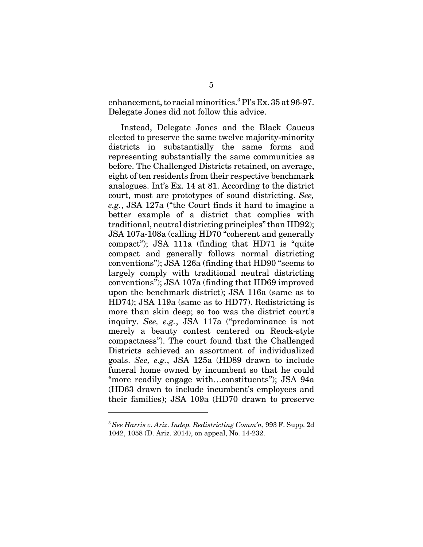enhancement, to racial minorities.<sup>3</sup> Pl's Ex. 35 at 96-97. Delegate Jones did not follow this advice.

Instead, Delegate Jones and the Black Caucus elected to preserve the same twelve majority-minority districts in substantially the same forms and representing substantially the same communities as before. The Challenged Districts retained, on average, eight of ten residents from their respective benchmark analogues. Int's Ex. 14 at 81. According to the district court, most are prototypes of sound districting. *See, e.g.*, JSA 127a ("the Court finds it hard to imagine a better example of a district that complies with traditional, neutral districting principles" than HD92); JSA 107a-108a (calling HD70 "coherent and generally compact"); JSA 111a (finding that HD71 is "quite compact and generally follows normal districting conventions"); JSA 126a (finding that HD90 "seems to largely comply with traditional neutral districting conventions"); JSA 107a (finding that HD69 improved upon the benchmark district); JSA 116a (same as to HD74); JSA 119a (same as to HD77). Redistricting is more than skin deep; so too was the district court's inquiry. *See, e.g.*, JSA 117a ("predominance is not merely a beauty contest centered on Reock-style compactness"). The court found that the Challenged Districts achieved an assortment of individualized goals. *See, e.g.*, JSA 125a (HD89 drawn to include funeral home owned by incumbent so that he could "more readily engage with…constituents"); JSA 94a (HD63 drawn to include incumbent's employees and their families); JSA 109a (HD70 drawn to preserve

<sup>3</sup> *See Harris v. Ariz. Indep. Redistricting Comm'n*, 993 F. Supp. 2d 1042, 1058 (D. Ariz. 2014), on appeal, No. 14-232.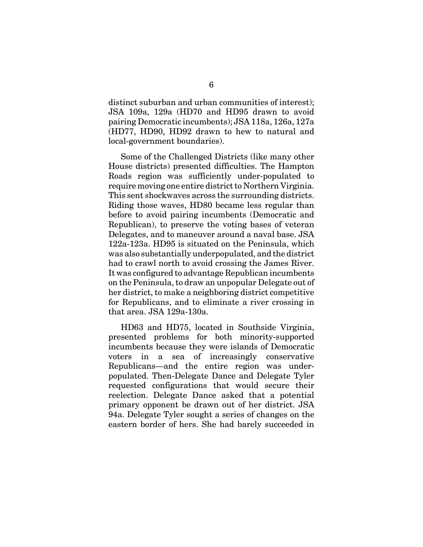distinct suburban and urban communities of interest); JSA 109a, 129a (HD70 and HD95 drawn to avoid pairing Democratic incumbents); JSA 118a, 126a, 127a (HD77, HD90, HD92 drawn to hew to natural and local-government boundaries).

Some of the Challenged Districts (like many other House districts) presented difficulties. The Hampton Roads region was sufficiently under-populated to require moving one entire district to Northern Virginia. This sent shockwaves across the surrounding districts. Riding those waves, HD80 became less regular than before to avoid pairing incumbents (Democratic and Republican), to preserve the voting bases of veteran Delegates, and to maneuver around a naval base. JSA 122a-123a. HD95 is situated on the Peninsula, which was also substantially underpopulated, and the district had to crawl north to avoid crossing the James River. It was configured to advantage Republican incumbents on the Peninsula, to draw an unpopular Delegate out of her district, to make a neighboring district competitive for Republicans, and to eliminate a river crossing in that area. JSA 129a-130a.

HD63 and HD75, located in Southside Virginia, presented problems for both minority-supported incumbents because they were islands of Democratic voters in a sea of increasingly conservative Republicans—and the entire region was underpopulated. Then-Delegate Dance and Delegate Tyler requested configurations that would secure their reelection. Delegate Dance asked that a potential primary opponent be drawn out of her district. JSA 94a. Delegate Tyler sought a series of changes on the eastern border of hers. She had barely succeeded in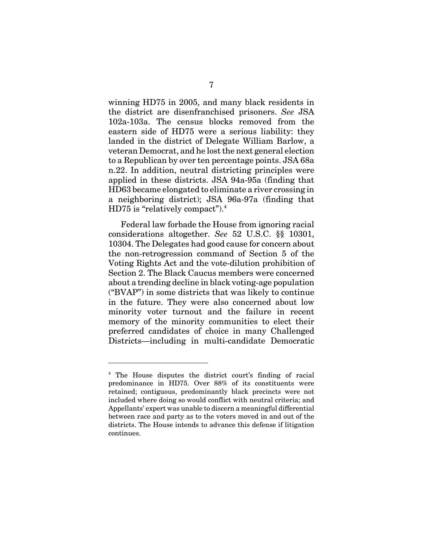winning HD75 in 2005, and many black residents in the district are disenfranchised prisoners. *See* JSA 102a-103a. The census blocks removed from the eastern side of HD75 were a serious liability: they landed in the district of Delegate William Barlow, a veteran Democrat, and he lost the next general election to a Republican by over ten percentage points. JSA 68a n.22. In addition, neutral districting principles were applied in these districts. JSA 94a-95a (finding that HD63 became elongated to eliminate a river crossing in a neighboring district); JSA 96a-97a (finding that HD75 is "relatively compact"). $4$ 

Federal law forbade the House from ignoring racial considerations altogether. *See* 52 U.S.C. §§ 10301, 10304. The Delegates had good cause for concern about the non-retrogression command of Section 5 of the Voting Rights Act and the vote-dilution prohibition of Section 2. The Black Caucus members were concerned about a trending decline in black voting-age population ("BVAP") in some districts that was likely to continue in the future. They were also concerned about low minority voter turnout and the failure in recent memory of the minority communities to elect their preferred candidates of choice in many Challenged Districts—including in multi-candidate Democratic

<sup>&</sup>lt;sup>4</sup> The House disputes the district court's finding of racial predominance in HD75. Over 88% of its constituents were retained; contiguous, predominantly black precincts were not included where doing so would conflict with neutral criteria; and Appellants' expert was unable to discern a meaningful differential between race and party as to the voters moved in and out of the districts. The House intends to advance this defense if litigation continues.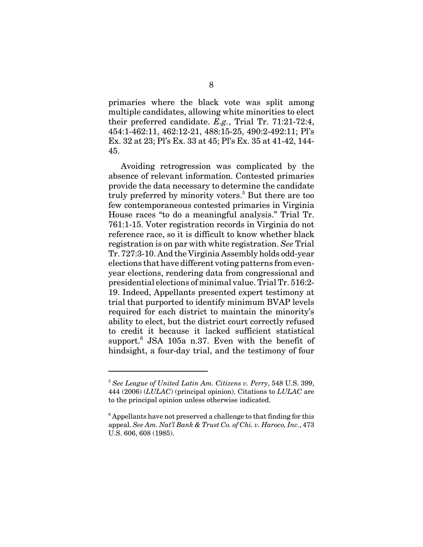primaries where the black vote was split among multiple candidates, allowing white minorities to elect their preferred candidate. *E.g.*, Trial Tr. 71:21-72:4, 454:1-462:11, 462:12-21, 488:15-25, 490:2-492:11; Pl's Ex. 32 at 23; Pl's Ex. 33 at 45; Pl's Ex. 35 at 41-42, 144- 45.

Avoiding retrogression was complicated by the absence of relevant information. Contested primaries provide the data necessary to determine the candidate truly preferred by minority voters.<sup>5</sup> But there are too few contemporaneous contested primaries in Virginia House races "to do a meaningful analysis." Trial Tr. 761:1-15. Voter registration records in Virginia do not reference race, so it is difficult to know whether black registration is on par with white registration. *See* Trial Tr. 727:3-10. And the Virginia Assembly holds odd-year elections that have different voting patterns from evenyear elections, rendering data from congressional and presidential elections of minimal value. Trial Tr. 516:2- 19. Indeed, Appellants presented expert testimony at trial that purported to identify minimum BVAP levels required for each district to maintain the minority's ability to elect, but the district court correctly refused to credit it because it lacked sufficient statistical support.<sup>6</sup> JSA 105a n.37. Even with the benefit of hindsight, a four-day trial, and the testimony of four

<sup>5</sup> *See League of United Latin Am. Citizens v. Perry*, 548 U.S. 399, 444 (2006) (*LULAC*) (principal opinion). Citations to *LULAC* are to the principal opinion unless otherwise indicated.

 $6$  Appellants have not preserved a challenge to that finding for this appeal. *See Am. Nat'l Bank & Trust Co. of Chi. v. Haroco, Inc.*, 473 U.S. 606, 608 (1985).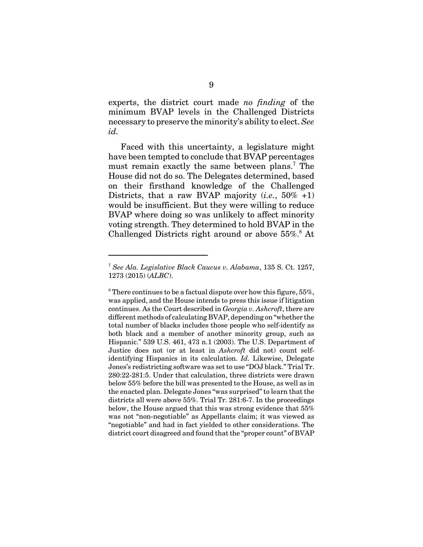experts, the district court made *no finding* of the minimum BVAP levels in the Challenged Districts necessary to preserve the minority's ability to elect. *See id.* 

Faced with this uncertainty, a legislature might have been tempted to conclude that BVAP percentages must remain exactly the same between plans.<sup>7</sup> The House did not do so. The Delegates determined, based on their firsthand knowledge of the Challenged Districts, that a raw BVAP majority (*i.e.*, 50% +1) would be insufficient. But they were willing to reduce BVAP where doing so was unlikely to affect minority voting strength. They determined to hold BVAP in the Challenged Districts right around or above 55%.<sup>8</sup> At

<sup>7</sup> *See Ala. Legislative Black Caucus v. Alabama*, 135 S. Ct. 1257, 1273 (2015) (*ALBC*).

 $8$  There continues to be a factual dispute over how this figure, 55%, was applied, and the House intends to press this issue if litigation continues. As the Court described in *Georgia v. Ashcroft*, there are different methods of calculating BVAP, depending on "whether the total number of blacks includes those people who self-identify as both black and a member of another minority group, such as Hispanic." 539 U.S. 461, 473 n.1 (2003). The U.S. Department of Justice does not (or at least in *Ashcroft* did not) count selfidentifying Hispanics in its calculation. *Id.* Likewise, Delegate Jones's redistricting software was set to use "DOJ black." Trial Tr. 280:22-281:5. Under that calculation, three districts were drawn below 55% before the bill was presented to the House, as well as in the enacted plan. Delegate Jones "was surprised" to learn that the districts all were above 55%. Trial Tr. 281:6-7. In the proceedings below, the House argued that this was strong evidence that 55% was not "non-negotiable" as Appellants claim; it was viewed as "negotiable" and had in fact yielded to other considerations. The district court disagreed and found that the "proper count" of BVAP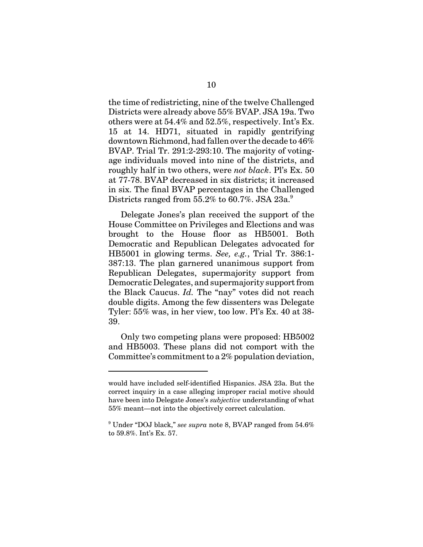the time of redistricting, nine of the twelve Challenged Districts were already above 55% BVAP. JSA 19a. Two others were at 54.4% and 52.5%, respectively. Int's Ex. 15 at 14. HD71, situated in rapidly gentrifying downtown Richmond, had fallen over the decade to 46% BVAP. Trial Tr. 291:2-293:10. The majority of votingage individuals moved into nine of the districts, and roughly half in two others, were *not black*. Pl's Ex. 50 at 77-78. BVAP decreased in six districts; it increased in six. The final BVAP percentages in the Challenged Districts ranged from  $55.2\%$  to  $60.7\%$ . JSA  $23a$ <sup>9</sup>

Delegate Jones's plan received the support of the House Committee on Privileges and Elections and was brought to the House floor as HB5001. Both Democratic and Republican Delegates advocated for HB5001 in glowing terms. *See, e.g.*, Trial Tr. 386:1- 387:13. The plan garnered unanimous support from Republican Delegates, supermajority support from Democratic Delegates, and supermajority support from the Black Caucus. *Id.* The "nay" votes did not reach double digits. Among the few dissenters was Delegate Tyler: 55% was, in her view, too low. Pl's Ex. 40 at 38- 39.

Only two competing plans were proposed: HB5002 and HB5003. These plans did not comport with the Committee's commitment to a 2% population deviation,

would have included self-identified Hispanics. JSA 23a. But the correct inquiry in a case alleging improper racial motive should have been into Delegate Jones's *subjective* understanding of what 55% meant—not into the objectively correct calculation.

<sup>9</sup> Under "DOJ black," *see supra* note 8, BVAP ranged from 54.6% to 59.8%. Int's Ex. 57.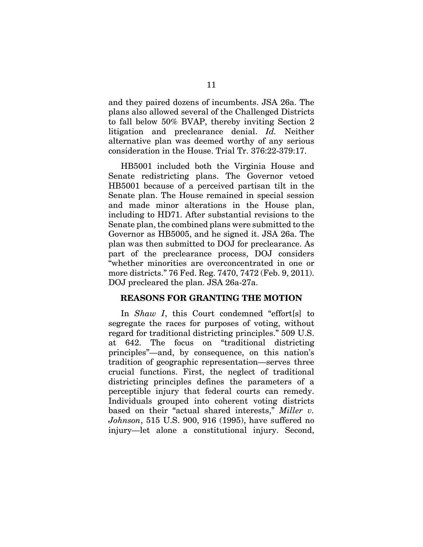and they paired dozens of incumbents. JSA 26a. The plans also allowed several of the Challenged Districts to fall below 50% BVAP, thereby inviting Section 2 litigation and preclearance denial. *Id.* Neither alternative plan was deemed worthy of any serious consideration in the House. Trial Tr. 376:22-379:17.

HB5001 included both the Virginia House and Senate redistricting plans. The Governor vetoed HB5001 because of a perceived partisan tilt in the Senate plan. The House remained in special session and made minor alterations in the House plan, including to HD71. After substantial revisions to the Senate plan, the combined plans were submitted to the Governor as HB5005, and he signed it. JSA 26a. The plan was then submitted to DOJ for preclearance. As part of the preclearance process, DOJ considers "whether minorities are overconcentrated in one or more districts." 76 Fed. Reg. 7470, 7472 (Feb. 9, 2011). DOJ precleared the plan. JSA 26a-27a.

#### **REASONS FOR GRANTING THE MOTION**

In *Shaw I*, this Court condemned "effort[s] to segregate the races for purposes of voting, without regard for traditional districting principles." 509 U.S. at 642. The focus on "traditional districting principles"—and, by consequence, on this nation's tradition of geographic representation—serves three crucial functions. First, the neglect of traditional districting principles defines the parameters of a perceptible injury that federal courts can remedy. Individuals grouped into coherent voting districts based on their "actual shared interests," *Miller v. Johnson*, 515 U.S. 900, 916 (1995), have suffered no injury—let alone a constitutional injury. Second,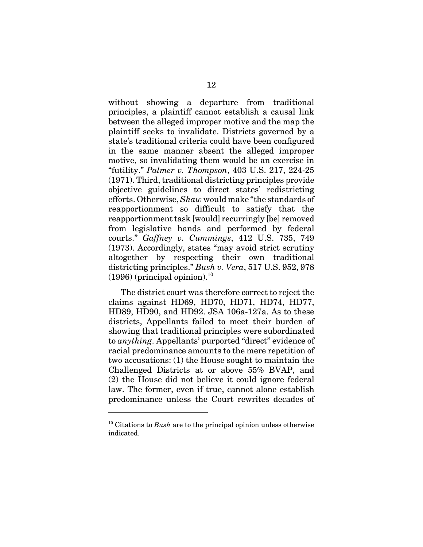without showing a departure from traditional principles, a plaintiff cannot establish a causal link between the alleged improper motive and the map the plaintiff seeks to invalidate. Districts governed by a state's traditional criteria could have been configured in the same manner absent the alleged improper motive, so invalidating them would be an exercise in "futility." *Palmer v. Thompson*, 403 U.S. 217, 224-25 (1971). Third, traditional districting principles provide objective guidelines to direct states' redistricting efforts. Otherwise, *Shaw* would make "the standards of reapportionment so difficult to satisfy that the reapportionment task [would] recurringly [be] removed from legislative hands and performed by federal courts." *Gaffney v. Cummings*, 412 U.S. 735, 749 (1973). Accordingly, states "may avoid strict scrutiny altogether by respecting their own traditional districting principles." *Bush v. Vera*, 517 U.S. 952, 978  $(1996)$  (principal opinion).<sup>10</sup>

The district court was therefore correct to reject the claims against HD69, HD70, HD71, HD74, HD77, HD89, HD90, and HD92. JSA 106a-127a. As to these districts, Appellants failed to meet their burden of showing that traditional principles were subordinated to *anything*. Appellants' purported "direct" evidence of racial predominance amounts to the mere repetition of two accusations: (1) the House sought to maintain the Challenged Districts at or above 55% BVAP, and (2) the House did not believe it could ignore federal law. The former, even if true, cannot alone establish predominance unless the Court rewrites decades of

<sup>10</sup> Citations to *Bush* are to the principal opinion unless otherwise indicated.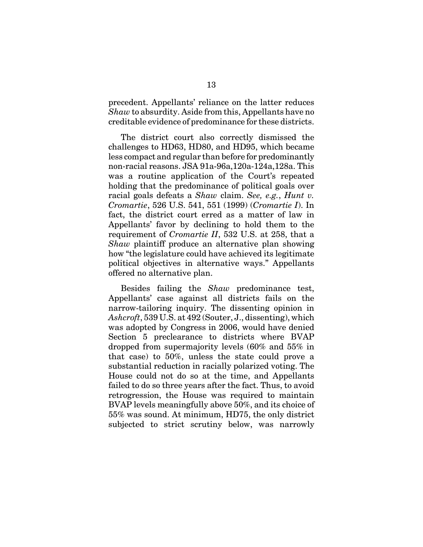precedent. Appellants' reliance on the latter reduces *Shaw* to absurdity. Aside from this, Appellants have no creditable evidence of predominance for these districts.

The district court also correctly dismissed the challenges to HD63, HD80, and HD95, which became less compact and regular than before for predominantly non-racial reasons. JSA 91a-96a,120a-124a,128a. This was a routine application of the Court's repeated holding that the predominance of political goals over racial goals defeats a *Shaw* claim. *See, e.g.*, *Hunt v. Cromartie*, 526 U.S. 541, 551 (1999) (*Cromartie I*). In fact, the district court erred as a matter of law in Appellants' favor by declining to hold them to the requirement of *Cromartie II*, 532 U.S. at 258, that a *Shaw* plaintiff produce an alternative plan showing how "the legislature could have achieved its legitimate political objectives in alternative ways." Appellants offered no alternative plan.

Besides failing the *Shaw* predominance test, Appellants' case against all districts fails on the narrow-tailoring inquiry. The dissenting opinion in *Ashcroft*, 539 U.S. at 492 (Souter, J., dissenting), which was adopted by Congress in 2006, would have denied Section 5 preclearance to districts where BVAP dropped from supermajority levels (60% and 55% in that case) to 50%, unless the state could prove a substantial reduction in racially polarized voting. The House could not do so at the time, and Appellants failed to do so three years after the fact. Thus, to avoid retrogression, the House was required to maintain BVAP levels meaningfully above 50%, and its choice of 55% was sound. At minimum, HD75, the only district subjected to strict scrutiny below, was narrowly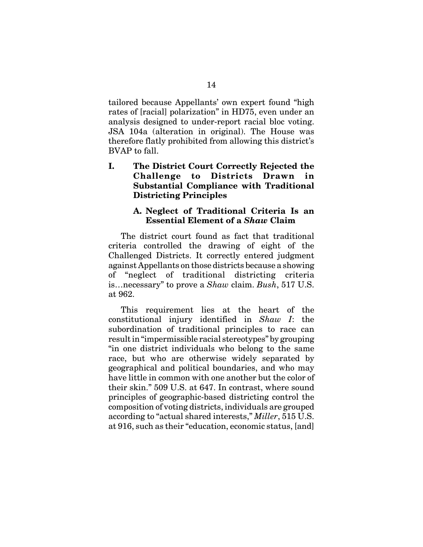tailored because Appellants' own expert found "high rates of [racial] polarization" in HD75, even under an analysis designed to under-report racial bloc voting. JSA 104a (alteration in original). The House was therefore flatly prohibited from allowing this district's BVAP to fall.

**I. The District Court Correctly Rejected the Challenge to Districts Drawn in Substantial Compliance with Traditional Districting Principles A. Neglect of Traditional Criteria Is an**

# **Essential Element of a** *Shaw* **Claim**

The district court found as fact that traditional criteria controlled the drawing of eight of the Challenged Districts. It correctly entered judgment against Appellants on those districts because a showing of "neglect of traditional districting criteria is…necessary" to prove a *Shaw* claim. *Bush*, 517 U.S. at 962.

This requirement lies at the heart of the constitutional injury identified in *Shaw I*: the subordination of traditional principles to race can result in "impermissible racial stereotypes" by grouping "in one district individuals who belong to the same race, but who are otherwise widely separated by geographical and political boundaries, and who may have little in common with one another but the color of their skin." 509 U.S. at 647. In contrast, where sound principles of geographic-based districting control the composition of voting districts, individuals are grouped according to "actual shared interests," *Miller*, 515 U.S. at 916, such as their "education, economic status, [and]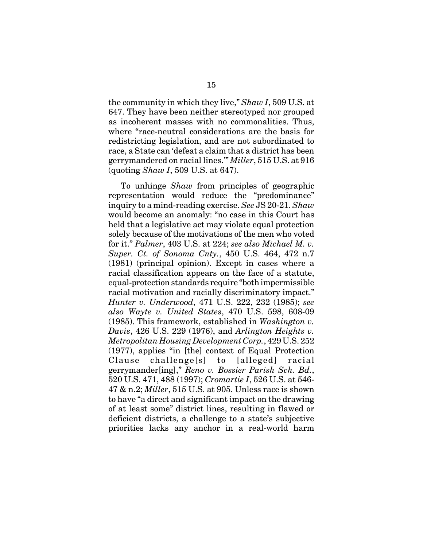the community in which they live," *Shaw I*, 509 U.S. at 647. They have been neither stereotyped nor grouped as incoherent masses with no commonalities. Thus, where "race-neutral considerations are the basis for redistricting legislation, and are not subordinated to race, a State can 'defeat a claim that a district has been gerrymandered on racial lines.'" *Miller*, 515 U.S. at 916 (quoting *Shaw I*, 509 U.S. at 647).

To unhinge *Shaw* from principles of geographic representation would reduce the "predominance" inquiry to a mind-reading exercise. *See* JS 20-21. *Shaw* would become an anomaly: "no case in this Court has held that a legislative act may violate equal protection solely because of the motivations of the men who voted for it." *Palmer*, 403 U.S. at 224; *see also Michael M. v. Super. Ct. of Sonoma Cnty.*, 450 U.S. 464, 472 n.7 (1981) (principal opinion). Except in cases where a racial classification appears on the face of a statute, equal-protection standards require "both impermissible racial motivation and racially discriminatory impact." *Hunter v. Underwood*, 471 U.S. 222, 232 (1985); *see also Wayte v. United States*, 470 U.S. 598, 608-09 (1985). This framework, established in *Washington v. Davis*, 426 U.S. 229 (1976), and *Arlington Heights v. Metropolitan Housing Development Corp.*, 429 U.S. 252 (1977), applies "in [the] context of Equal Protection Clause challenge[s] to [alleged] racial gerrymander[ing]," *Reno v. Bossier Parish Sch. Bd.*, 520 U.S. 471, 488 (1997); *Cromartie I*, 526 U.S. at 546- 47 & n.2; *Miller*, 515 U.S. at 905. Unless race is shown to have "a direct and significant impact on the drawing of at least some" district lines, resulting in flawed or deficient districts, a challenge to a state's subjective priorities lacks any anchor in a real-world harm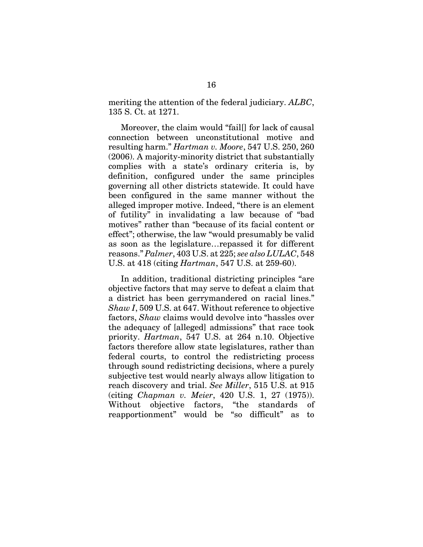meriting the attention of the federal judiciary. *ALBC*, 135 S. Ct. at 1271.

Moreover, the claim would "fail[] for lack of causal connection between unconstitutional motive and resulting harm." *Hartman v. Moore*, 547 U.S. 250, 260 (2006). A majority-minority district that substantially complies with a state's ordinary criteria is, by definition, configured under the same principles governing all other districts statewide. It could have been configured in the same manner without the alleged improper motive. Indeed, "there is an element of futility" in invalidating a law because of "bad motives" rather than "because of its facial content or effect"; otherwise, the law "would presumably be valid as soon as the legislature…repassed it for different reasons." *Palmer*, 403 U.S. at 225; *see also LULAC*, 548 U.S. at 418 (citing *Hartman*, 547 U.S. at 259-60).

In addition, traditional districting principles "are objective factors that may serve to defeat a claim that a district has been gerrymandered on racial lines." *Shaw I*, 509 U.S. at 647. Without reference to objective factors, *Shaw* claims would devolve into "hassles over the adequacy of [alleged] admissions" that race took priority. *Hartman*, 547 U.S. at 264 n.10. Objective factors therefore allow state legislatures, rather than federal courts, to control the redistricting process through sound redistricting decisions, where a purely subjective test would nearly always allow litigation to reach discovery and trial. *See Miller*, 515 U.S. at 915 (citing *Chapman v. Meier*, 420 U.S. 1, 27 (1975)). Without objective factors, "the standards of reapportionment" would be "so difficult" as to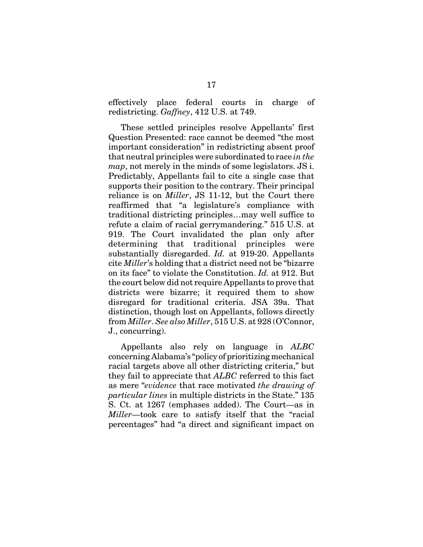effectively place federal courts in charge of redistricting. *Gaffney*, 412 U.S. at 749.

These settled principles resolve Appellants' first Question Presented: race cannot be deemed "the most important consideration" in redistricting absent proof that neutral principles were subordinated to race *in the map*, not merely in the minds of some legislators. JS i. Predictably, Appellants fail to cite a single case that supports their position to the contrary. Their principal reliance is on *Miller*, JS 11-12, but the Court there reaffirmed that "a legislature's compliance with traditional districting principles…may well suffice to refute a claim of racial gerrymandering." 515 U.S. at 919. The Court invalidated the plan only after determining that traditional principles were substantially disregarded. *Id.* at 919-20. Appellants cite *Miller*'s holding that a district need not be "bizarre on its face" to violate the Constitution. *Id.* at 912. But the court below did not require Appellants to prove that districts were bizarre; it required them to show disregard for traditional criteria. JSA 39a. That distinction, though lost on Appellants, follows directly from *Miller*. *See also Miller*, 515 U.S. at 928 (O'Connor, J., concurring).

Appellants also rely on language in *ALBC* concerning Alabama's "policy of prioritizing mechanical racial targets above all other districting criteria," but they fail to appreciate that *ALBC* referred to this fact as mere "*evidence* that race motivated *the drawing of particular lines* in multiple districts in the State." 135 S. Ct. at 1267 (emphases added). The Court—as in *Miller*—took care to satisfy itself that the "racial percentages" had "a direct and significant impact on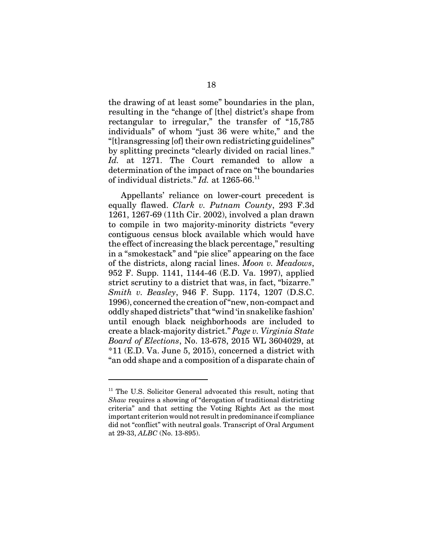the drawing of at least some" boundaries in the plan, resulting in the "change of [the] district's shape from rectangular to irregular," the transfer of "15,785 individuals" of whom "just 36 were white," and the "[t]ransgressing [of] their own redistricting guidelines" by splitting precincts "clearly divided on racial lines." *Id.* at 1271. The Court remanded to allow a determination of the impact of race on "the boundaries of individual districts." *Id.* at 1265-66.11

Appellants' reliance on lower-court precedent is equally flawed. *Clark v. Putnam County*, 293 F.3d 1261, 1267-69 (11th Cir. 2002), involved a plan drawn to compile in two majority-minority districts "every contiguous census block available which would have the effect of increasing the black percentage," resulting in a "smokestack" and "pie slice" appearing on the face of the districts, along racial lines. *Moon v. Meadows*, 952 F. Supp. 1141, 1144-46 (E.D. Va. 1997), applied strict scrutiny to a district that was, in fact, "bizarre." *Smith v. Beasley*, 946 F. Supp. 1174, 1207 (D.S.C. 1996), concerned the creation of "new, non-compact and oddly shaped districts" that "wind 'in snakelike fashion' until enough black neighborhoods are included to create a black-majority district." *Page v. Virginia State Board of Elections*, No. 13-678, 2015 WL 3604029, at \*11 (E.D. Va. June 5, 2015), concerned a district with "an odd shape and a composition of a disparate chain of

<sup>&</sup>lt;sup>11</sup> The U.S. Solicitor General advocated this result, noting that *Shaw* requires a showing of "derogation of traditional districting criteria" and that setting the Voting Rights Act as the most important criterion would not result in predominance if compliance did not "conflict" with neutral goals. Transcript of Oral Argument at 29-33, *ALBC* (No. 13-895).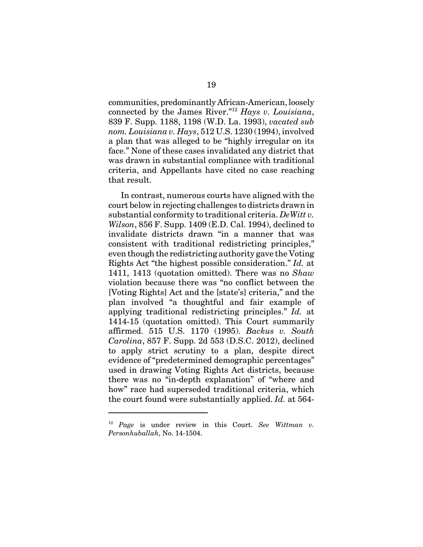communities, predominantly African-American, loosely connected by the James River."12 *Hays v. Louisiana*, 839 F. Supp. 1188, 1198 (W.D. La. 1993), *vacated sub nom. Louisiana v. Hays*, 512 U.S. 1230 (1994), involved a plan that was alleged to be "highly irregular on its face." None of these cases invalidated any district that was drawn in substantial compliance with traditional criteria, and Appellants have cited no case reaching that result.

In contrast, numerous courts have aligned with the court below in rejecting challenges to districts drawn in substantial conformity to traditional criteria. *DeWitt v. Wilson*, 856 F. Supp. 1409 (E.D. Cal. 1994), declined to invalidate districts drawn "in a manner that was consistent with traditional redistricting principles," even though the redistricting authority gave the Voting Rights Act "the highest possible consideration." *Id.* at 1411, 1413 (quotation omitted). There was no *Shaw* violation because there was "no conflict between the [Voting Rights] Act and the [state's] criteria," and the plan involved "a thoughtful and fair example of applying traditional redistricting principles." *Id.* at 1414-15 (quotation omitted). This Court summarily affirmed. 515 U.S. 1170 (1995). *Backus v. South Carolina*, 857 F. Supp. 2d 553 (D.S.C. 2012), declined to apply strict scrutiny to a plan, despite direct evidence of "predetermined demographic percentages" used in drawing Voting Rights Act districts, because there was no "in-depth explanation" of "where and how" race had superseded traditional criteria, which the court found were substantially applied. *Id.* at 564-

<sup>12</sup> *Page* is under review in this Court. *See Wittman v. Personhuballah*, No. 14-1504.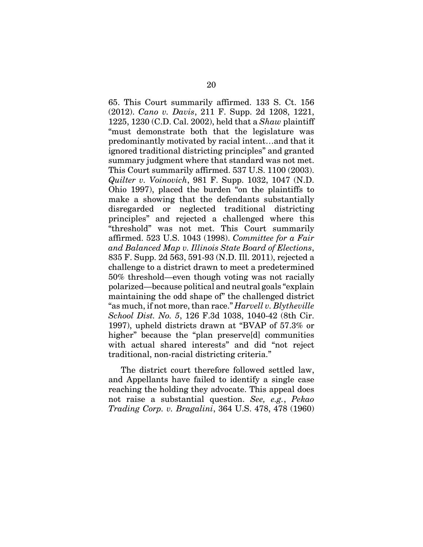65. This Court summarily affirmed. 133 S. Ct. 156 (2012). *Cano v. Davis*, 211 F. Supp. 2d 1208, 1221, 1225, 1230 (C.D. Cal. 2002), held that a *Shaw* plaintiff "must demonstrate both that the legislature was predominantly motivated by racial intent…and that it ignored traditional districting principles" and granted summary judgment where that standard was not met. This Court summarily affirmed. 537 U.S. 1100 (2003). *Quilter v. Voinovich*, 981 F. Supp. 1032, 1047 (N.D. Ohio 1997), placed the burden "on the plaintiffs to make a showing that the defendants substantially disregarded or neglected traditional districting principles" and rejected a challenged where this "threshold" was not met. This Court summarily affirmed. 523 U.S. 1043 (1998). *Committee for a Fair and Balanced Map v. Illinois State Board of Elections*, 835 F. Supp. 2d 563, 591-93 (N.D. Ill. 2011), rejected a challenge to a district drawn to meet a predetermined 50% threshold—even though voting was not racially polarized—because political and neutral goals "explain maintaining the odd shape of" the challenged district "as much, if not more, than race." *Harvell v. Blytheville School Dist. No. 5*, 126 F.3d 1038, 1040-42 (8th Cir. 1997), upheld districts drawn at "BVAP of 57.3% or higher" because the "plan preserve[d] communities with actual shared interests" and did "not reject traditional, non-racial districting criteria."

The district court therefore followed settled law, and Appellants have failed to identify a single case reaching the holding they advocate. This appeal does not raise a substantial question. *See, e.g.*, *Pekao Trading Corp. v. Bragalini*, 364 U.S. 478, 478 (1960)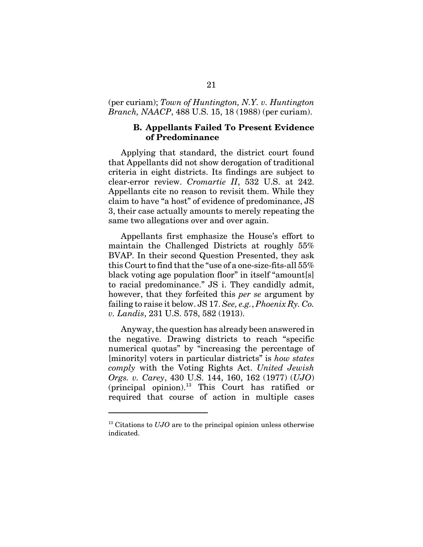#### (per curiam); *Town of Huntington, N.Y. v. Huntington Branch, NAACP*, 488 U.S. 15, 18 (1988) (per curiam).

#### **B. Appellants Failed To Present Evidence of Predominance**

Applying that standard, the district court found that Appellants did not show derogation of traditional criteria in eight districts. Its findings are subject to clear-error review. *Cromartie II*, 532 U.S. at 242. Appellants cite no reason to revisit them. While they claim to have "a host" of evidence of predominance, JS 3, their case actually amounts to merely repeating the same two allegations over and over again.

Appellants first emphasize the House's effort to maintain the Challenged Districts at roughly 55% BVAP. In their second Question Presented, they ask this Court to find that the "use of a one-size-fits-all 55% black voting age population floor" in itself "amount[s] to racial predominance." JS i. They candidly admit, however, that they forfeited this *per se* argument by failing to raise it below. JS 17. *See, e.g.*, *Phoenix Ry. Co. v. Landis*, 231 U.S. 578, 582 (1913).

Anyway, the question has already been answered in the negative. Drawing districts to reach "specific numerical quotas" by "increasing the percentage of [minority] voters in particular districts" is *how states comply* with the Voting Rights Act. *United Jewish Orgs. v. Carey*, 430 U.S. 144, 160, 162 (1977) (*UJO*)  $(principal$  opinion).<sup>13</sup> This Court has ratified or required that course of action in multiple cases

<sup>&</sup>lt;sup>13</sup> Citations to *UJO* are to the principal opinion unless otherwise indicated.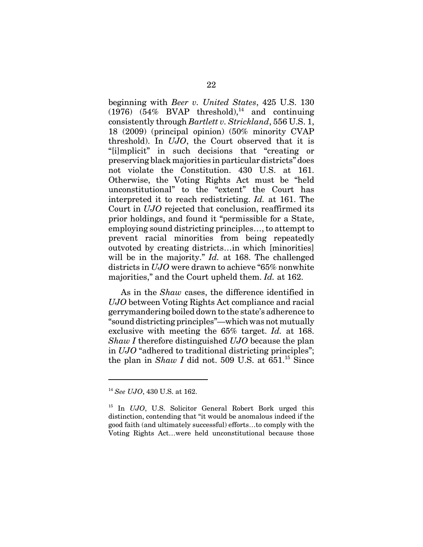beginning with *Beer v. United States*, 425 U.S. 130  $(1976)$   $(54\%$  BVAP threshold),<sup>14</sup> and continuing consistently through *Bartlett v. Strickland*, 556 U.S. 1, 18 (2009) (principal opinion) (50% minority CVAP threshold). In *UJO*, the Court observed that it is "[i]mplicit" in such decisions that "creating or preserving black majorities in particular districts" does not violate the Constitution. 430 U.S. at 161. Otherwise, the Voting Rights Act must be "held unconstitutional" to the "extent" the Court has interpreted it to reach redistricting. *Id.* at 161. The Court in *UJO* rejected that conclusion, reaffirmed its prior holdings, and found it "permissible for a State, employing sound districting principles…, to attempt to prevent racial minorities from being repeatedly outvoted by creating districts…in which [minorities] will be in the majority." *Id.* at 168. The challenged districts in *UJO* were drawn to achieve "65% nonwhite majorities," and the Court upheld them. *Id.* at 162.

As in the *Shaw* cases, the difference identified in *UJO* between Voting Rights Act compliance and racial gerrymandering boiled down to the state's adherence to "sound districting principles"—which was not mutually exclusive with meeting the 65% target. *Id.* at 168. *Shaw I* therefore distinguished *UJO* because the plan in *UJO* "adhered to traditional districting principles"; the plan in *Shaw I* did not. 509 U.S. at  $651<sup>15</sup>$  Since

<sup>14</sup> *See UJO*, 430 U.S. at 162.

<sup>15</sup> In *UJO*, U.S. Solicitor General Robert Bork urged this distinction, contending that "it would be anomalous indeed if the good faith (and ultimately successful) efforts…to comply with the Voting Rights Act…were held unconstitutional because those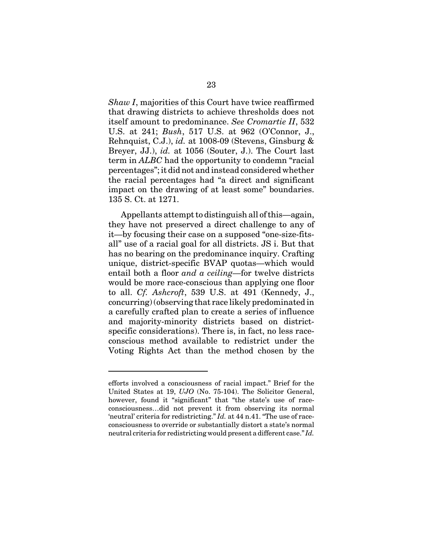*Shaw I*, majorities of this Court have twice reaffirmed that drawing districts to achieve thresholds does not itself amount to predominance. *See Cromartie II*, 532 U.S. at 241; *Bush*, 517 U.S. at 962 (O'Connor, J., Rehnquist, C.J.), *id.* at 1008-09 (Stevens, Ginsburg & Breyer, JJ.), *id.* at 1056 (Souter, J.). The Court last term in *ALBC* had the opportunity to condemn "racial percentages"; it did not and instead considered whether the racial percentages had "a direct and significant impact on the drawing of at least some" boundaries. 135 S. Ct. at 1271.

Appellants attempt to distinguish all of this—again, they have not preserved a direct challenge to any of it—by focusing their case on a supposed "one-size-fitsall" use of a racial goal for all districts. JS i. But that has no bearing on the predominance inquiry. Crafting unique, district-specific BVAP quotas—which would entail both a floor *and a ceiling*—for twelve districts would be more race-conscious than applying one floor to all. *Cf. Ashcroft*, 539 U.S. at 491 (Kennedy, J., concurring) (observing that race likely predominated in a carefully crafted plan to create a series of influence and majority-minority districts based on districtspecific considerations). There is, in fact, no less raceconscious method available to redistrict under the Voting Rights Act than the method chosen by the

efforts involved a consciousness of racial impact." Brief for the United States at 19, *UJO* (No. 75-104). The Solicitor General, however, found it "significant" that "the state's use of raceconsciousness…did not prevent it from observing its normal 'neutral' criteria for redistricting." *Id.* at 44 n.41. "The use of raceconsciousness to override or substantially distort a state's normal neutral criteria for redistricting would present a different case." *Id.*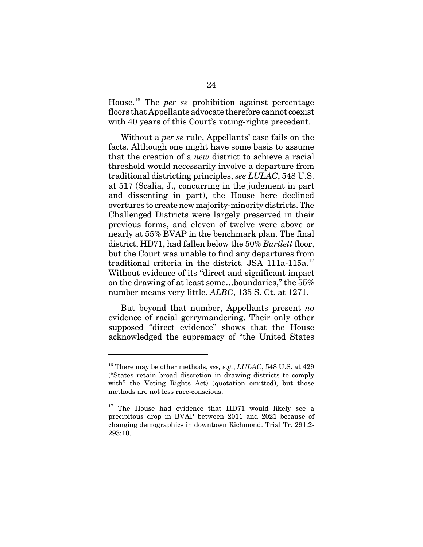House.16 The *per se* prohibition against percentage floors that Appellants advocate therefore cannot coexist with 40 years of this Court's voting-rights precedent.

Without a *per se* rule, Appellants' case fails on the facts. Although one might have some basis to assume that the creation of a *new* district to achieve a racial threshold would necessarily involve a departure from traditional districting principles, *see LULAC*, 548 U.S. at 517 (Scalia, J., concurring in the judgment in part and dissenting in part), the House here declined overtures to create new majority-minority districts. The Challenged Districts were largely preserved in their previous forms, and eleven of twelve were above or nearly at 55% BVAP in the benchmark plan. The final district, HD71, had fallen below the 50% *Bartlett* floor, but the Court was unable to find any departures from traditional criteria in the district. JSA 111a-115a.<sup>17</sup> Without evidence of its "direct and significant impact on the drawing of at least some…boundaries," the 55% number means very little. *ALBC*, 135 S. Ct. at 1271.

But beyond that number, Appellants present *no* evidence of racial gerrymandering. Their only other supposed "direct evidence" shows that the House acknowledged the supremacy of "the United States

<sup>16</sup> There may be other methods, *see, e.g.*, *LULAC*, 548 U.S. at 429 ("States retain broad discretion in drawing districts to comply with" the Voting Rights Act) (quotation omitted), but those methods are not less race-conscious.

<sup>&</sup>lt;sup>17</sup> The House had evidence that HD71 would likely see a precipitous drop in BVAP between 2011 and 2021 because of changing demographics in downtown Richmond. Trial Tr. 291:2- 293:10.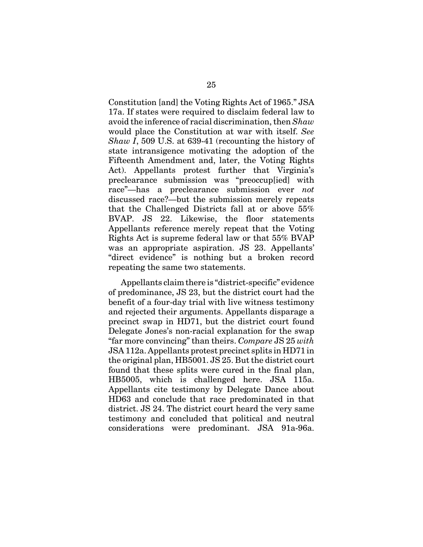Constitution [and] the Voting Rights Act of 1965." JSA 17a. If states were required to disclaim federal law to avoid the inference of racial discrimination, then *Shaw* would place the Constitution at war with itself. *See Shaw I*, 509 U.S. at 639-41 (recounting the history of state intransigence motivating the adoption of the Fifteenth Amendment and, later, the Voting Rights Act). Appellants protest further that Virginia's preclearance submission was "preoccup[ied] with race"—has a preclearance submission ever *not* discussed race?—but the submission merely repeats that the Challenged Districts fall at or above 55% BVAP. JS 22. Likewise, the floor statements Appellants reference merely repeat that the Voting Rights Act is supreme federal law or that 55% BVAP was an appropriate aspiration. JS 23. Appellants' "direct evidence" is nothing but a broken record repeating the same two statements.

Appellants claim there is "district-specific" evidence of predominance, JS 23, but the district court had the benefit of a four-day trial with live witness testimony and rejected their arguments. Appellants disparage a precinct swap in HD71, but the district court found Delegate Jones's non-racial explanation for the swap "far more convincing" than theirs. *Compare* JS 25 *with* JSA 112a. Appellants protest precinct splits in HD71 in the original plan, HB5001. JS 25. But the district court found that these splits were cured in the final plan, HB5005, which is challenged here. JSA 115a. Appellants cite testimony by Delegate Dance about HD63 and conclude that race predominated in that district. JS 24. The district court heard the very same testimony and concluded that political and neutral considerations were predominant. JSA 91a-96a.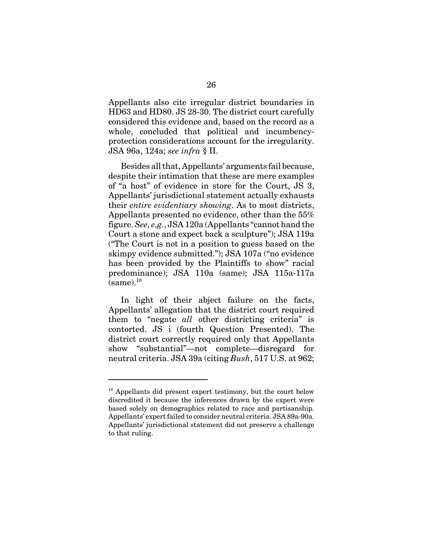Appellants also cite irregular district boundaries in HD63 and HD80. JS 28-30. The district court carefully considered this evidence and, based on the record as a whole, concluded that political and incumbencyprotection considerations account for the irregularity. JSA 96a, 124a; *see infra* § II.

Besides all that, Appellants' arguments fail because, despite their intimation that these are mere examples of "a host" of evidence in store for the Court, JS 3, Appellants' jurisdictional statement actually exhausts their *entire evidentiary showing*. As to most districts, Appellants presented no evidence, other than the 55% figure. *See, e.g.*, JSA 120a (Appellants "cannot hand the Court a stone and expect back a sculpture"); JSA 119a ("The Court is not in a position to guess based on the skimpy evidence submitted."); JSA 107a ("no evidence has been provided by the Plaintiffs to show" racial predominance); JSA 110a (same); JSA 115a-117a  $(same).<sup>18</sup>$ 

In light of their abject failure on the facts, Appellants' allegation that the district court required them to "negate *all* other districting criteria" is contorted. JS i (fourth Question Presented). The district court correctly required only that Appellants show "substantial"—not complete—disregard for neutral criteria. JSA 39a (citing *Bush*, 517 U.S. at 962;

<sup>&</sup>lt;sup>18</sup> Appellants did present expert testimony, but the court below discredited it because the inferences drawn by the expert were based solely on demographics related to race and partisanship. Appellants' expert failed to consider neutral criteria. JSA 89a-90a. Appellants' jurisdictional statement did not preserve a challenge to that ruling.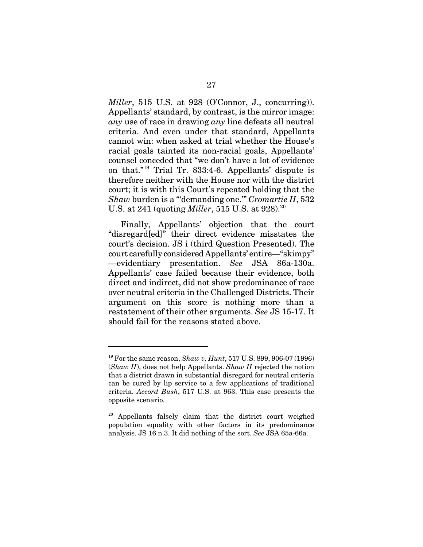*Miller*, 515 U.S. at 928 (O'Connor, J., concurring)). Appellants' standard, by contrast, is the mirror image: *any* use of race in drawing *any* line defeats all neutral criteria. And even under that standard, Appellants cannot win: when asked at trial whether the House's racial goals tainted its non-racial goals, Appellants' counsel conceded that "we don't have a lot of evidence on that."19 Trial Tr. 833:4-6. Appellants' dispute is therefore neither with the House nor with the district court; it is with this Court's repeated holding that the *Shaw* burden is a "'demanding one.'" *Cromartie II*, 532 U.S. at 241 (quoting *Miller*, 515 U.S. at 928).<sup>20</sup>

Finally, Appellants' objection that the court "disregard[ed]" their direct evidence misstates the court's decision. JS i (third Question Presented). The court carefully considered Appellants' entire—"skimpy" —evidentiary presentation. *See* JSA 86a-130a. Appellants' case failed because their evidence, both direct and indirect, did not show predominance of race over neutral criteria in the Challenged Districts. Their argument on this score is nothing more than a restatement of their other arguments. *See* JS 15-17. It should fail for the reasons stated above.

<sup>19</sup> For the same reason, *Shaw v. Hunt*, 517 U.S. 899, 906-07 (1996) (*Shaw II*), does not help Appellants. *Shaw II* rejected the notion that a district drawn in substantial disregard for neutral criteria can be cured by lip service to a few applications of traditional criteria. *Accord Bush*, 517 U.S. at 963. This case presents the opposite scenario.

<sup>20</sup> Appellants falsely claim that the district court weighed population equality with other factors in its predominance analysis. JS 16 n.3. It did nothing of the sort. *See* JSA 65a-66a.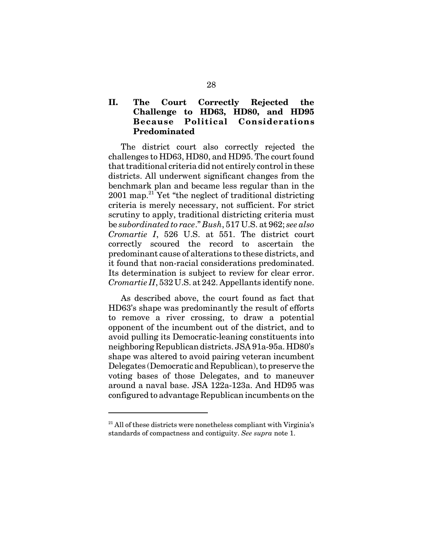### **II. The Court Correctly Rejected the Challenge to HD63, HD80, and HD95 Because Political Considerations Predominated**

The district court also correctly rejected the challenges to HD63, HD80, and HD95. The court found that traditional criteria did not entirely control in these districts. All underwent significant changes from the benchmark plan and became less regular than in the  $2001$  map.<sup>21</sup> Yet "the neglect of traditional districting" criteria is merely necessary, not sufficient. For strict scrutiny to apply, traditional districting criteria must be *subordinated to race*." *Bush*, 517 U.S. at 962; *see also Cromartie I*, 526 U.S. at 551. The district court correctly scoured the record to ascertain the predominant cause of alterations to these districts, and it found that non-racial considerations predominated. Its determination is subject to review for clear error. *Cromartie II*, 532 U.S. at 242. Appellants identify none.

As described above, the court found as fact that HD63's shape was predominantly the result of efforts to remove a river crossing, to draw a potential opponent of the incumbent out of the district, and to avoid pulling its Democratic-leaning constituents into neighboring Republican districts. JSA 91a-95a. HD80's shape was altered to avoid pairing veteran incumbent Delegates (Democratic and Republican), to preserve the voting bases of those Delegates, and to maneuver around a naval base. JSA 122a-123a. And HD95 was configured to advantage Republican incumbents on the

 $^{21}$  All of these districts were nonetheless compliant with Virginia's standards of compactness and contiguity. *See supra* note 1.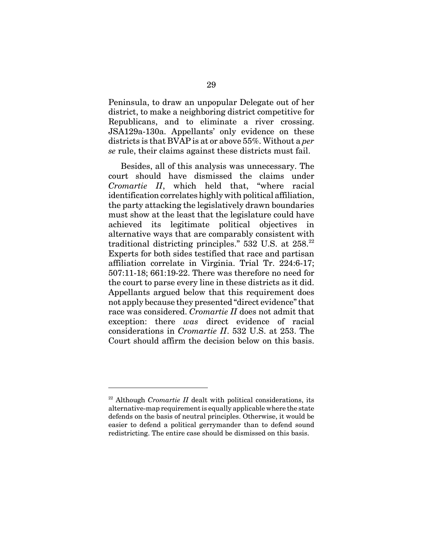Peninsula, to draw an unpopular Delegate out of her district, to make a neighboring district competitive for Republicans, and to eliminate a river crossing. JSA129a-130a. Appellants' only evidence on these districts is that BVAP is at or above 55%. Without a *per se* rule, their claims against these districts must fail.

Besides, all of this analysis was unnecessary. The court should have dismissed the claims under *Cromartie II*, which held that, "where racial identification correlates highly with political affiliation, the party attacking the legislatively drawn boundaries must show at the least that the legislature could have achieved its legitimate political objectives in alternative ways that are comparably consistent with traditional districting principles."  $532 \text{ U.S. at } 258.22$ Experts for both sides testified that race and partisan affiliation correlate in Virginia. Trial Tr. 224:6-17; 507:11-18; 661:19-22. There was therefore no need for the court to parse every line in these districts as it did. Appellants argued below that this requirement does not apply because they presented "direct evidence" that race was considered. *Cromartie II* does not admit that exception: there *was* direct evidence of racial considerations in *Cromartie II*. 532 U.S. at 253. The Court should affirm the decision below on this basis.

 $22$  Although *Cromartie II* dealt with political considerations, its alternative-map requirement is equally applicable where the state defends on the basis of neutral principles. Otherwise, it would be easier to defend a political gerrymander than to defend sound redistricting. The entire case should be dismissed on this basis.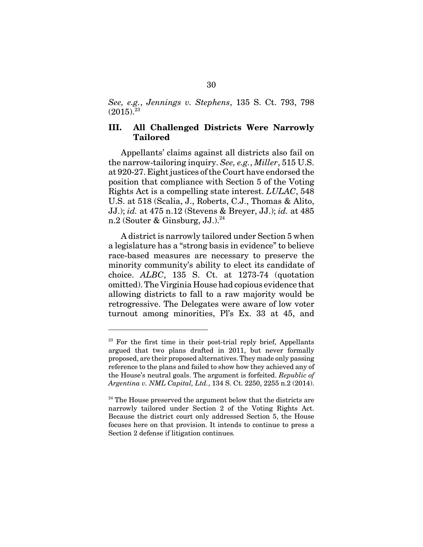*See, e.g.*, *Jennings v. Stephens*, 135 S. Ct. 793, 798  $(2015)^{23}$ 

#### **III. All Challenged Districts Were Narrowly Tailored**

Appellants' claims against all districts also fail on the narrow-tailoring inquiry. *See, e.g.*, *Miller*, 515 U.S. at 920-27. Eight justices of the Court have endorsed the position that compliance with Section 5 of the Voting Rights Act is a compelling state interest. *LULAC*, 548 U.S. at 518 (Scalia, J., Roberts, C.J., Thomas & Alito, JJ.); *id.* at 475 n.12 (Stevens & Breyer, JJ.); *id.* at 485 n.2 (Souter & Ginsburg, JJ.). $^{24}$ 

A district is narrowly tailored under Section 5 when a legislature has a "strong basis in evidence" to believe race-based measures are necessary to preserve the minority community's ability to elect its candidate of choice. *ALBC*, 135 S. Ct. at 1273-74 (quotation omitted). The Virginia House had copious evidence that allowing districts to fall to a raw majority would be retrogressive. The Delegates were aware of low voter turnout among minorities, Pl's Ex. 33 at 45, and

 $23$  For the first time in their post-trial reply brief, Appellants argued that two plans drafted in 2011, but never formally proposed, are their proposed alternatives. They made only passing reference to the plans and failed to show how they achieved any of the House's neutral goals. The argument is forfeited. *Republic of Argentina v. NML Capital, Ltd.*, 134 S. Ct. 2250, 2255 n.2 (2014).

 $24$  The House preserved the argument below that the districts are narrowly tailored under Section 2 of the Voting Rights Act. Because the district court only addressed Section 5, the House focuses here on that provision. It intends to continue to press a Section 2 defense if litigation continues*.*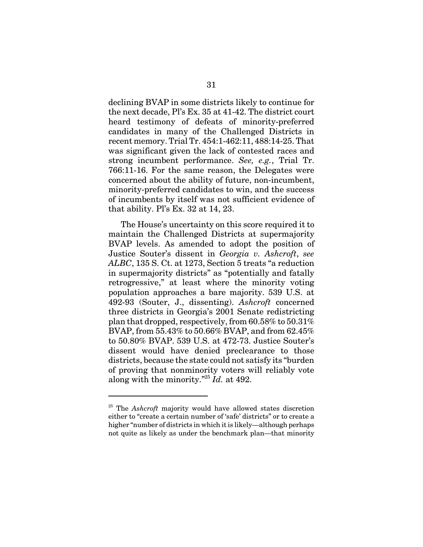declining BVAP in some districts likely to continue for the next decade, Pl's Ex. 35 at 41-42. The district court heard testimony of defeats of minority-preferred candidates in many of the Challenged Districts in recent memory. Trial Tr. 454:1-462:11, 488:14-25. That was significant given the lack of contested races and strong incumbent performance. *See, e.g.*, Trial Tr. 766:11-16. For the same reason, the Delegates were concerned about the ability of future, non-incumbent, minority-preferred candidates to win, and the success of incumbents by itself was not sufficient evidence of that ability. Pl's Ex. 32 at 14, 23.

The House's uncertainty on this score required it to maintain the Challenged Districts at supermajority BVAP levels. As amended to adopt the position of Justice Souter's dissent in *Georgia v. Ashcroft*, *see ALBC*, 135 S. Ct. at 1273, Section 5 treats "a reduction in supermajority districts" as "potentially and fatally retrogressive," at least where the minority voting population approaches a bare majority. 539 U.S. at 492-93 (Souter, J., dissenting). *Ashcroft* concerned three districts in Georgia's 2001 Senate redistricting plan that dropped, respectively, from 60.58% to 50.31% BVAP, from 55.43% to 50.66% BVAP, and from 62.45% to 50.80% BVAP. 539 U.S. at 472-73. Justice Souter's dissent would have denied preclearance to those districts, because the state could not satisfy its "burden of proving that nonminority voters will reliably vote along with the minority."25 *Id.* at 492.

<sup>25</sup> The *Ashcroft* majority would have allowed states discretion either to "create a certain number of 'safe' districts" or to create a higher "number of districts in which it is likely—although perhaps not quite as likely as under the benchmark plan—that minority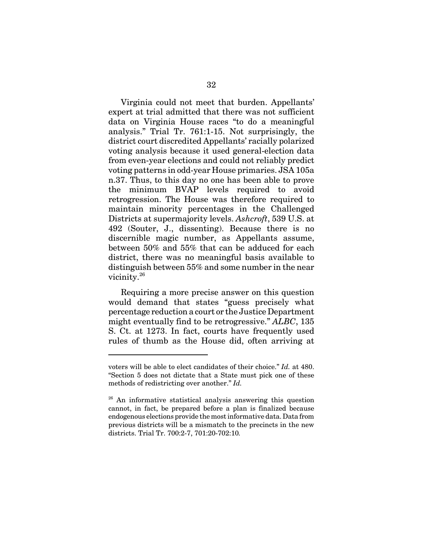Virginia could not meet that burden. Appellants' expert at trial admitted that there was not sufficient data on Virginia House races "to do a meaningful analysis." Trial Tr. 761:1-15. Not surprisingly, the district court discredited Appellants' racially polarized voting analysis because it used general-election data from even-year elections and could not reliably predict voting patterns in odd-year House primaries. JSA 105a n.37. Thus, to this day no one has been able to prove the minimum BVAP levels required to avoid retrogression. The House was therefore required to maintain minority percentages in the Challenged Districts at supermajority levels. *Ashcroft*, 539 U.S. at 492 (Souter, J., dissenting). Because there is no discernible magic number, as Appellants assume, between 50% and 55% that can be adduced for each district, there was no meaningful basis available to distinguish between 55% and some number in the near vicinity.<sup>26</sup>

Requiring a more precise answer on this question would demand that states "guess precisely what percentage reduction a court or the Justice Department might eventually find to be retrogressive." *ALBC*, 135 S. Ct. at 1273. In fact, courts have frequently used rules of thumb as the House did, often arriving at

voters will be able to elect candidates of their choice." *Id.* at 480. "Section 5 does not dictate that a State must pick one of these methods of redistricting over another." *Id.*

 $26$  An informative statistical analysis answering this question cannot, in fact, be prepared before a plan is finalized because endogenous elections provide the most informative data. Data from previous districts will be a mismatch to the precincts in the new districts. Trial Tr. 700:2-7, 701:20-702:10*.*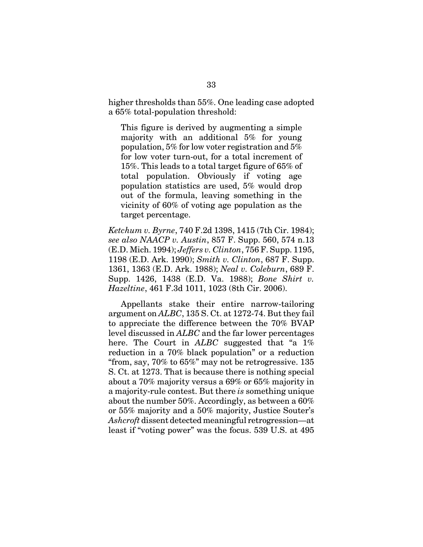higher thresholds than 55%. One leading case adopted a 65% total-population threshold:

This figure is derived by augmenting a simple majority with an additional 5% for young population, 5% for low voter registration and 5% for low voter turn-out, for a total increment of 15%. This leads to a total target figure of 65% of total population. Obviously if voting age population statistics are used, 5% would drop out of the formula, leaving something in the vicinity of 60% of voting age population as the target percentage.

*Ketchum v. Byrne*, 740 F.2d 1398, 1415 (7th Cir. 1984); *see also NAACP v. Austin*, 857 F. Supp. 560, 574 n.13 (E.D. Mich. 1994); *Jeffers v. Clinton*, 756 F. Supp. 1195, 1198 (E.D. Ark. 1990); *Smith v. Clinton*, 687 F. Supp. 1361, 1363 (E.D. Ark. 1988); *Neal v. Coleburn*, 689 F. Supp. 1426, 1438 (E.D. Va. 1988); *Bone Shirt v. Hazeltine*, 461 F.3d 1011, 1023 (8th Cir. 2006).

Appellants stake their entire narrow-tailoring argument on *ALBC*, 135 S. Ct. at 1272-74. But they fail to appreciate the difference between the 70% BVAP level discussed in *ALBC* and the far lower percentages here. The Court in *ALBC* suggested that "a 1% reduction in a 70% black population" or a reduction "from, say, 70% to 65%" may not be retrogressive. 135 S. Ct. at 1273. That is because there is nothing special about a 70% majority versus a 69% or 65% majority in a majority-rule contest. But there *is* something unique about the number 50%. Accordingly, as between a 60% or 55% majority and a 50% majority, Justice Souter's *Ashcroft* dissent detected meaningful retrogression—at least if "voting power" was the focus. 539 U.S. at 495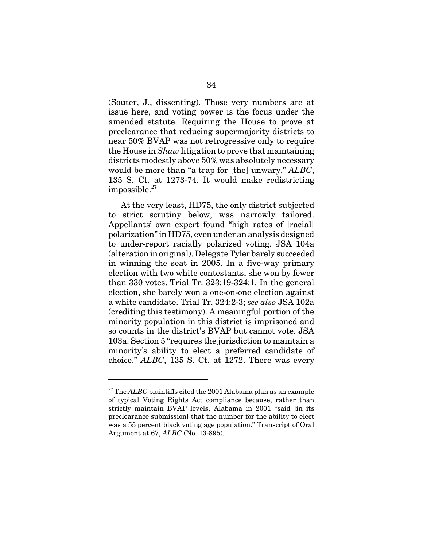(Souter, J., dissenting). Those very numbers are at issue here, and voting power is the focus under the amended statute. Requiring the House to prove at preclearance that reducing supermajority districts to near 50% BVAP was not retrogressive only to require the House in *Shaw* litigation to prove that maintaining districts modestly above 50% was absolutely necessary would be more than "a trap for [the] unwary." *ALBC*, 135 S. Ct. at 1273-74. It would make redistricting  $impossible.<sup>27</sup>$ 

At the very least, HD75, the only district subjected to strict scrutiny below, was narrowly tailored. Appellants' own expert found "high rates of [racial] polarization" in HD75, even under an analysis designed to under-report racially polarized voting. JSA 104a (alteration in original). Delegate Tyler barely succeeded in winning the seat in 2005. In a five-way primary election with two white contestants, she won by fewer than 330 votes. Trial Tr. 323:19-324:1. In the general election, she barely won a one-on-one election against a white candidate. Trial Tr. 324:2-3; *see also* JSA 102a (crediting this testimony). A meaningful portion of the minority population in this district is imprisoned and so counts in the district's BVAP but cannot vote. JSA 103a. Section 5 "requires the jurisdiction to maintain a minority's ability to elect a preferred candidate of choice." *ALBC*, 135 S. Ct. at 1272. There was every

<sup>&</sup>lt;sup>27</sup> The *ALBC* plaintiffs cited the 2001 Alabama plan as an example of typical Voting Rights Act compliance because, rather than strictly maintain BVAP levels, Alabama in 2001 "said [in its preclearance submission] that the number for the ability to elect was a 55 percent black voting age population." Transcript of Oral Argument at 67, *ALBC* (No. 13-895).